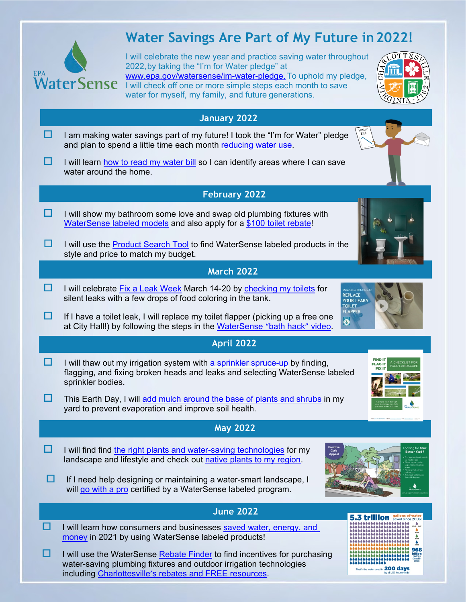

## **Water Savings Are Part of My Future in2022!**

I will celebrate the new year and practice saving water throughout 2022,by taking the "I'm for Water pledge" at www.epa.gov/watersense/im-water-pledge. To uphold my pledge, I will check off one or more simple steps each month to save water for myself, my family, and future generations.



That's the water used in 200 days

|   | 2INIA                                                                                                                                                                                                                |
|---|----------------------------------------------------------------------------------------------------------------------------------------------------------------------------------------------------------------------|
|   | January 2022                                                                                                                                                                                                         |
|   | Water<br>BILL<br>I am making water savings part of my future! I took the "I'm for Water" pledge<br>and plan to spend a little time each month reducing water use.                                                    |
|   | I will learn how to read my water bill so I can identify areas where I can save<br>water around the home.                                                                                                            |
|   | <b>February 2022</b>                                                                                                                                                                                                 |
|   | I will show my bathroom some love and swap old plumbing fixtures with<br>WaterSense labeled models and also apply for a \$100 toilet rebate!                                                                         |
| ப | I will use the <b>Product Search Tool</b> to find WaterSense labeled products in the<br>style and price to match my budget.                                                                                          |
|   | <b>March 2022</b>                                                                                                                                                                                                    |
| H | I will celebrate Fix a Leak Week March 14-20 by checking my toilets for<br><b>REPLACE</b><br>silent leaks with a few drops of food coloring in the tank.<br>YOUR LEAKY<br><b>TOILET</b>                              |
| H | <b>FLAPPER</b><br>If I have a toilet leak, I will replace my toilet flapper (picking up a free one<br>$\ddot{\bullet}$<br>at City Hall!) by following the steps in the WaterSense "bath hack" video.                 |
|   | <b>April 2022</b>                                                                                                                                                                                                    |
|   | <b>FIND IT</b><br>I will thaw out my irrigation system with a sprinkler spruce-up by finding,<br><b>FLAG IT</b><br>flagging, and fixing broken heads and leaks and selecting WaterSense labeled<br>sprinkler bodies. |
| H | This Earth Day, I will add mulch around the base of plants and shrubs in my<br>yard to prevent evaporation and improve soil health.                                                                                  |
|   | <b>May 2022</b>                                                                                                                                                                                                      |
|   | Looking for Your<br>I will find find the right plants and water-saving technologies for my<br>Curb                                                                                                                   |
|   | <b>Better Yard?</b><br>Appea<br>landscape and lifestyle and check out native plants to my region.                                                                                                                    |
|   | If I need help designing or maintaining a water-smart landscape, I<br>will go with a pro certified by a WaterSense labeled program.                                                                                  |
|   | <b>June 2022</b>                                                                                                                                                                                                     |
|   | I will learn how consumers and businesses saved water, energy, and<br>money in 2021 by using WaterSense labeled products!                                                                                            |

including Charlottesville'[s rebates and FREE](https://www.charlottesville.gov/501/Water-Rebates-Incentives) resources.